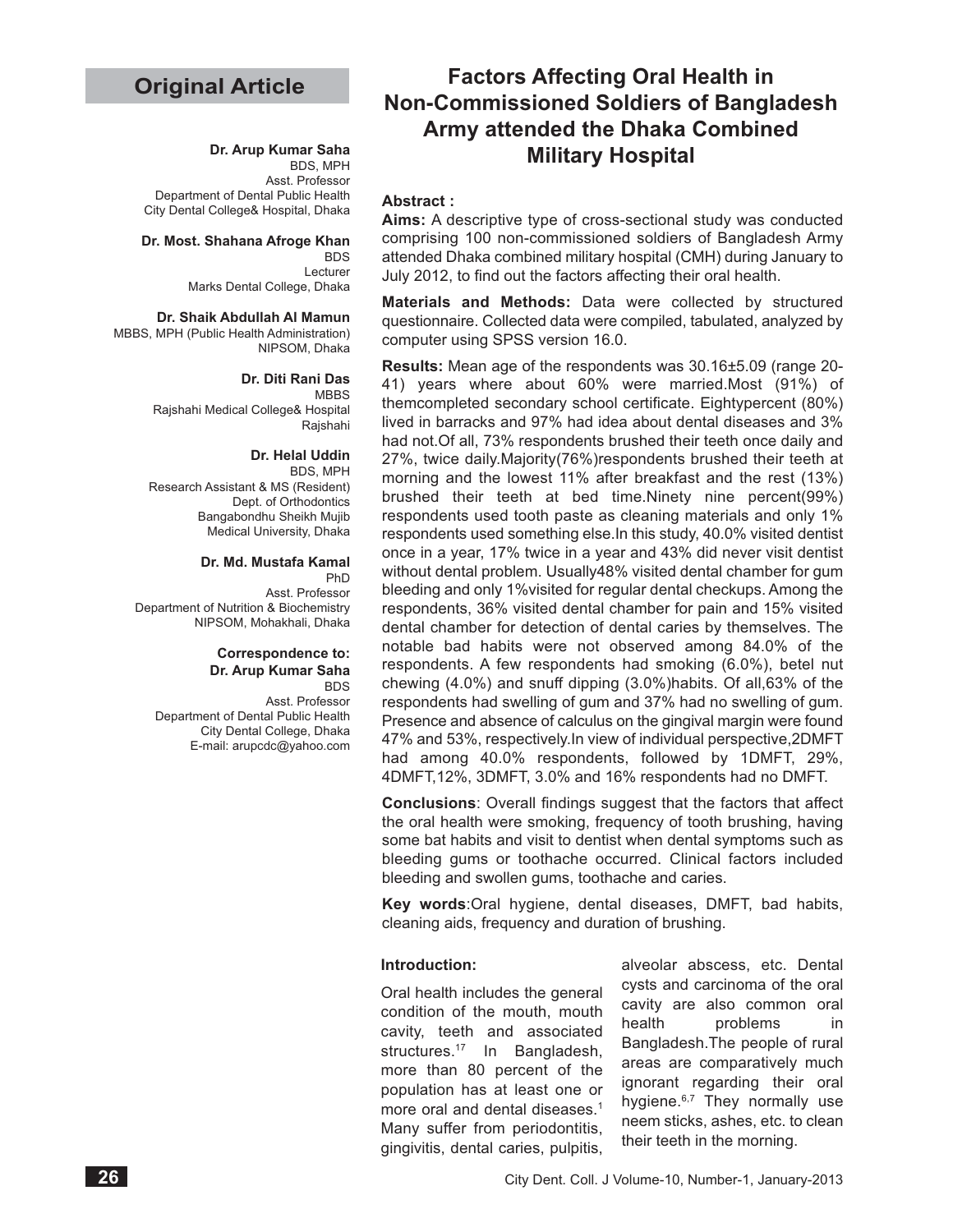# **Original Article**

#### **Dr. Arup Kumar Saha**

BDS, MPH Asst. Professor Department of Dental Public Health City Dental College& Hospital, Dhaka

#### **Dr. Most. Shahana Afroge Khan**

BDS Lecturer Marks Dental College, Dhaka

#### **Dr. Shaik Abdullah Al Mamun**

MBBS, MPH (Public Health Administration) NIPSOM, Dhaka

#### **Dr. Diti Rani Das**

MBBS Rajshahi Medical College& Hospital Rajshahi

#### **Dr. Helal Uddin**

BDS, MPH Research Assistant & MS (Resident) Dept. of Orthodontics Bangabondhu Sheikh Mujib Medical University, Dhaka

#### **Dr. Md. Mustafa Kamal**

PhD Asst. Professor Department of Nutrition & Biochemistry NIPSOM, Mohakhali, Dhaka

#### **Correspondence to: Dr. Arup Kumar Saha** BDS

Asst. Professor Department of Dental Public Health City Dental College, Dhaka E-mail: arupcdc@yahoo.com

# **Factors Affecting Oral Health in Non-Commissioned Soldiers of Bangladesh Army attended the Dhaka Combined Military Hospital**

## **Abstract :**

**Aims:** A descriptive type of cross-sectional study was conducted comprising 100 non-commissioned soldiers of Bangladesh Army attended Dhaka combined military hospital (CMH) during January to July 2012, to find out the factors affecting their oral health.

**Materials and Methods:** Data were collected by structured questionnaire. Collected data were compiled, tabulated, analyzed by computer using SPSS version 16.0.

**Results:** Mean age of the respondents was 30.16±5.09 (range 20- 41) years where about 60% were married.Most (91%) of themcompleted secondary school certificate. Eightypercent (80%) lived in barracks and 97% had idea about dental diseases and 3% had not.Of all, 73% respondents brushed their teeth once daily and 27%, twice daily.Majority(76%)respondents brushed their teeth at morning and the lowest 11% after breakfast and the rest (13%) brushed their teeth at bed time.Ninety nine percent(99%) respondents used tooth paste as cleaning materials and only 1% respondents used something else.In this study, 40.0% visited dentist once in a year, 17% twice in a year and 43% did never visit dentist without dental problem. Usually48% visited dental chamber for gum bleeding and only 1%visited for regular dental checkups. Among the respondents, 36% visited dental chamber for pain and 15% visited dental chamber for detection of dental caries by themselves. The notable bad habits were not observed among 84.0% of the respondents. A few respondents had smoking (6.0%), betel nut chewing (4.0%) and snuff dipping (3.0%)habits. Of all,63% of the respondents had swelling of gum and 37% had no swelling of gum. Presence and absence of calculus on the gingival margin were found 47% and 53%, respectively.In view of individual perspective,2DMFT had among 40.0% respondents, followed by 1DMFT, 29%, 4DMFT,12%, 3DMFT, 3.0% and 16% respondents had no DMFT.

**Conclusions**: Overall findings suggest that the factors that affect the oral health were smoking, frequency of tooth brushing, having some bat habits and visit to dentist when dental symptoms such as bleeding gums or toothache occurred. Clinical factors included bleeding and swollen gums, toothache and caries.

**Key words**:Oral hygiene, dental diseases, DMFT, bad habits, cleaning aids, frequency and duration of brushing.

### **Introduction:**

Oral health includes the general condition of the mouth, mouth cavity, teeth and associated structures.<sup>17</sup> In Bangladesh, more than 80 percent of the population has at least one or more oral and dental diseases.<sup>1</sup> Many suffer from periodontitis, gingivitis, dental caries, pulpitis,

alveolar abscess, etc. Dental cysts and carcinoma of the oral cavity are also common oral health problems in Bangladesh.The people of rural areas are comparatively much ignorant regarding their oral hygiene.6,7 They normally use neem sticks, ashes, etc. to clean their teeth in the morning.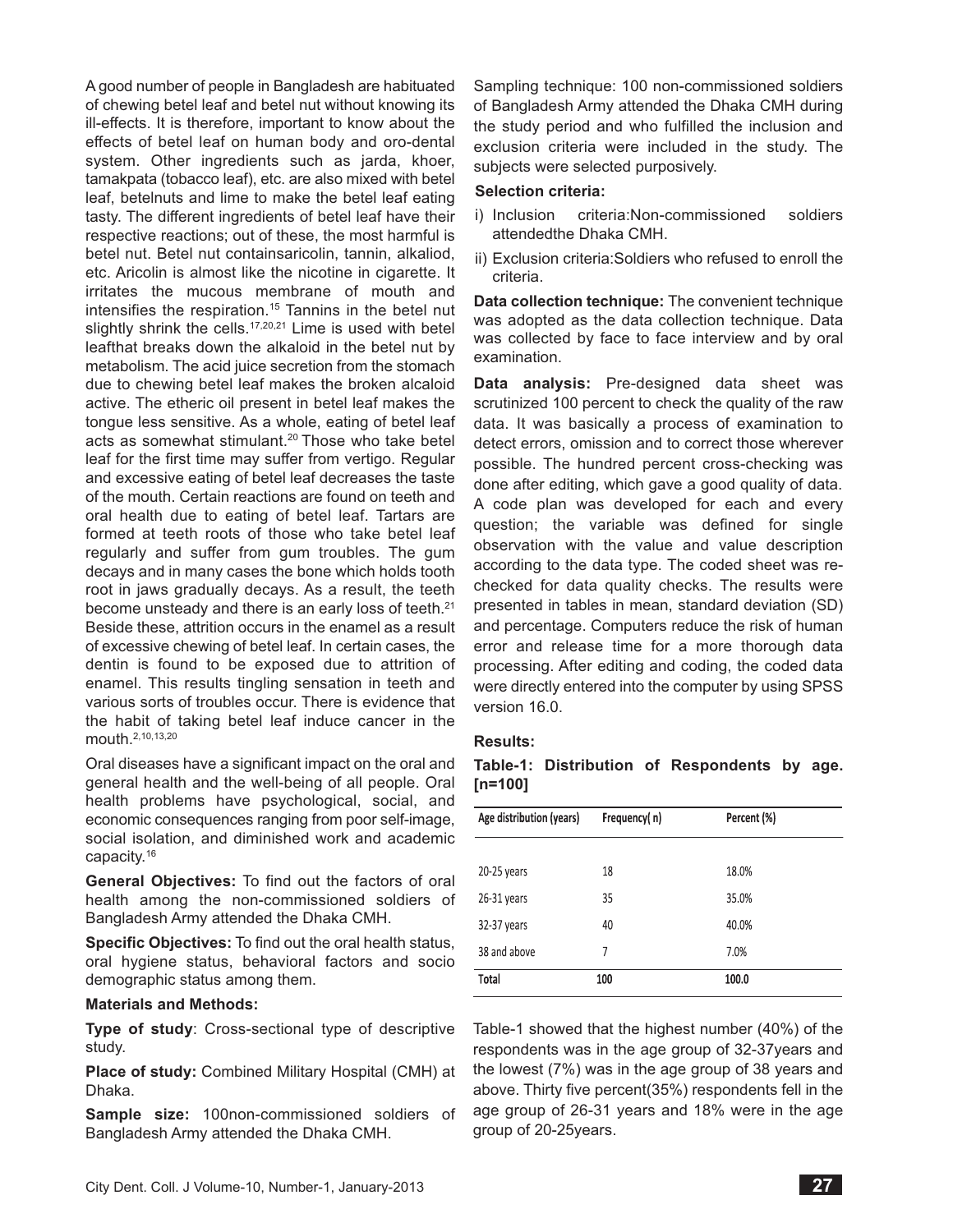A good number of people in Bangladesh are habituated of chewing betel leaf and betel nut without knowing its ill-effects. It is therefore, important to know about the effects of betel leaf on human body and oro-dental system. Other ingredients such as jarda, khoer, tamakpata (tobacco leaf), etc. are also mixed with betel leaf, betelnuts and lime to make the betel leaf eating tasty. The different ingredients of betel leaf have their respective reactions; out of these, the most harmful is betel nut. Betel nut containsaricolin, tannin, alkaliod, etc. Aricolin is almost like the nicotine in cigarette. It irritates the mucous membrane of mouth and intensifies the respiration.<sup>15</sup> Tannins in the betel nut slightly shrink the cells.<sup>17,20,21</sup> Lime is used with betel leafthat breaks down the alkaloid in the betel nut by metabolism. The acid juice secretion from the stomach due to chewing betel leaf makes the broken alcaloid active. The etheric oil present in betel leaf makes the tongue less sensitive. As a whole, eating of betel leaf acts as somewhat stimulant.<sup>20</sup> Those who take betel leaf for the first time may suffer from vertigo. Regular and excessive eating of betel leaf decreases the taste of the mouth. Certain reactions are found on teeth and oral health due to eating of betel leaf. Tartars are formed at teeth roots of those who take betel leaf regularly and suffer from gum troubles. The gum decays and in many cases the bone which holds tooth root in jaws gradually decays. As a result, the teeth become unsteady and there is an early loss of teeth.<sup>21</sup> Beside these, attrition occurs in the enamel as a result of excessive chewing of betel leaf. In certain cases, the dentin is found to be exposed due to attrition of enamel. This results tingling sensation in teeth and various sorts of troubles occur. There is evidence that the habit of taking betel leaf induce cancer in the mouth.2,10,13,20

Oral diseases have a significant impact on the oral and general health and the well-being of all people. Oral health problems have psychological, social, and economic consequences ranging from poor self-image, social isolation, and diminished work and academic capacity.16

**General Objectives:** To find out the factors of oral health among the non-commissioned soldiers of Bangladesh Army attended the Dhaka CMH.

**Specific Objectives:** To find out the oral health status, oral hygiene status, behavioral factors and socio demographic status among them.

## **Materials and Methods:**

**Type of study**: Cross-sectional type of descriptive study.

**Place of study:** Combined Military Hospital (CMH) at Dhaka.

**Sample size:** 100non-commissioned soldiers of Bangladesh Army attended the Dhaka CMH.

Sampling technique: 100 non-commissioned soldiers of Bangladesh Army attended the Dhaka CMH during the study period and who fulfilled the inclusion and exclusion criteria were included in the study. The subjects were selected purposively.

#### **Selection criteria:**

- i) Inclusion criteria:Non-commissioned soldiers attendedthe Dhaka CMH.
- ii) Exclusion criteria:Soldiers who refused to enroll the criteria.

**Data collection technique:** The convenient technique was adopted as the data collection technique. Data was collected by face to face interview and by oral examination.

**Data analysis:** Pre-designed data sheet was scrutinized 100 percent to check the quality of the raw data. It was basically a process of examination to detect errors, omission and to correct those wherever possible. The hundred percent cross-checking was done after editing, which gave a good quality of data. A code plan was developed for each and every question; the variable was defined for single observation with the value and value description according to the data type. The coded sheet was rechecked for data quality checks. The results were presented in tables in mean, standard deviation (SD) and percentage. Computers reduce the risk of human error and release time for a more thorough data processing. After editing and coding, the coded data were directly entered into the computer by using SPSS version 16.0.

## **Results:**

**Table-1: Distribution of Respondents by age. [n=100]** 

| Age distribution (years) | Frequency(n) | Percent (%) |
|--------------------------|--------------|-------------|
|                          |              |             |
| $20-25$ years            | 18           | 18.0%       |
| $26-31$ years            | 35           | 35.0%       |
| 32-37 years              | 40           | 40.0%       |
| 38 and above             | 7            | 7.0%        |
| Total                    | 100          | 100.0       |

Table-1 showed that the highest number (40%) of the respondents was in the age group of 32-37years and the lowest (7%) was in the age group of 38 years and above. Thirty five percent(35%) respondents fell in the age group of 26-31 years and 18% were in the age group of 20-25years.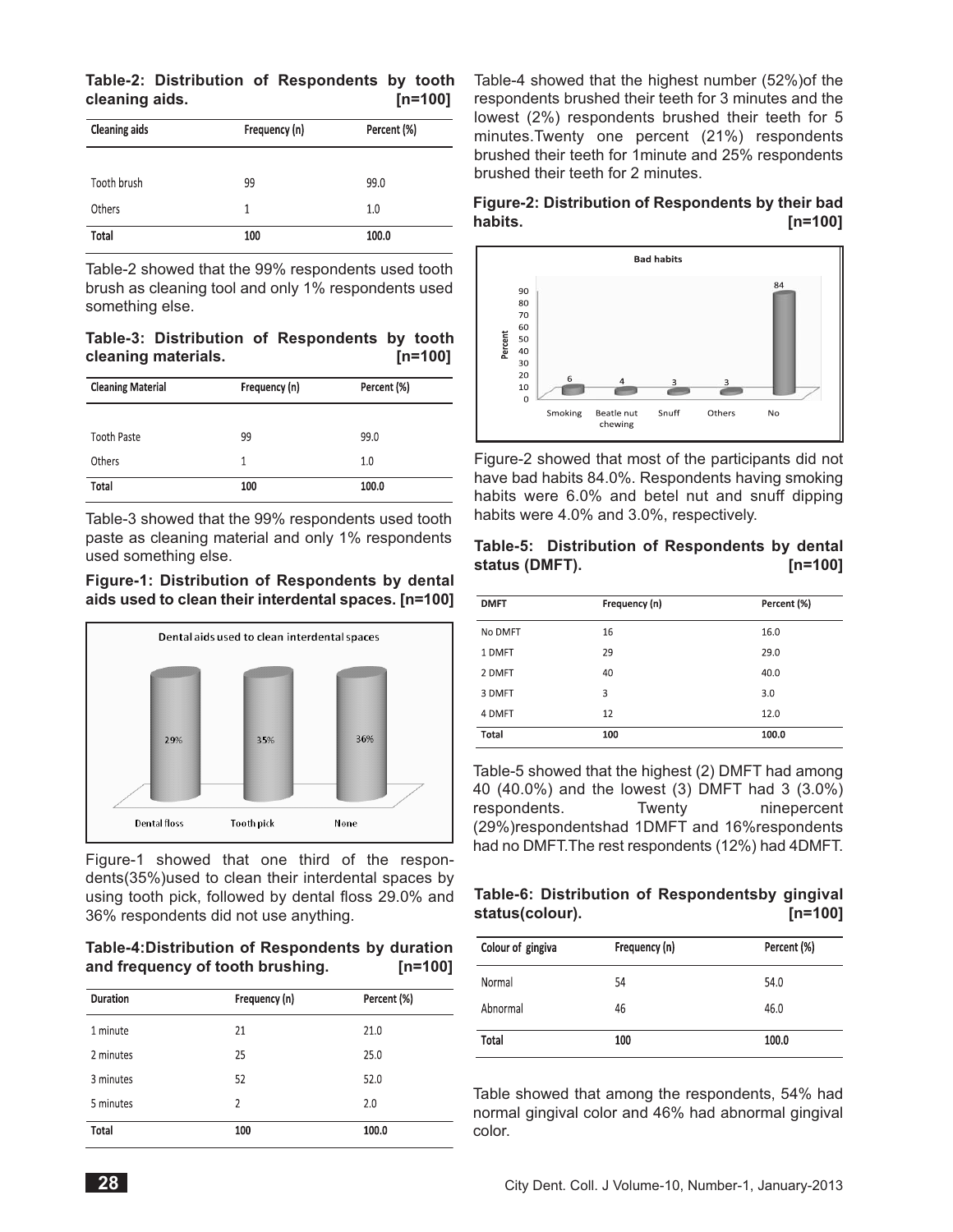|                |  | Table-2: Distribution of Respondents by tooth |         |
|----------------|--|-----------------------------------------------|---------|
| cleaning aids. |  |                                               | [n=100] |

| <b>Cleaning aids</b> | Frequency (n) | Percent (%) |
|----------------------|---------------|-------------|
|                      |               |             |
| Tooth brush          | 99            | 99.0        |
| Others               | 1             | 1.0         |
| Total                | 100           | 100.0       |

Table-2 showed that the 99% respondents used tooth brush as cleaning tool and only 1% respondents used something else.

**Table-3: Distribution of Respondents by tooth cleaning materials. [n=100]** 

| <b>Cleaning Material</b> | Frequency (n) | Percent (%) |
|--------------------------|---------------|-------------|
|                          |               |             |
| <b>Tooth Paste</b>       | 99            | 99.0        |
| Others                   | 1             | 1.0         |
| Total                    | 100           | 100.0       |

Table-3 showed that the 99% respondents used tooth paste as cleaning material and only 1% respondents used something else.

**Figure-1: Distribution of Respondents by dental aids used to clean their interdental spaces. [n=100]**



Figure-1 showed that one third of the respondents(35%)used to clean their interdental spaces by using tooth pick, followed by dental floss 29.0% and 36% respondents did not use anything.

## **Table-4:Distribution of Respondents by duration and frequency of tooth brushing. [n=100]**

| <b>Duration</b> | Frequency (n) | Percent (%) |
|-----------------|---------------|-------------|
| 1 minute        | 21            | 21.0        |
| 2 minutes       | 25            | 25.0        |
| 3 minutes       | 52            | 52.0        |
| 5 minutes       | 2             | 2.0         |
| Total           | 100           | 100.0       |

Table-4 showed that the highest number (52%)of the respondents brushed their teeth for 3 minutes and the lowest (2%) respondents brushed their teeth for 5 minutes.Twenty one percent (21%) respondents brushed their teeth for 1minute and 25% respondents brushed their teeth for 2 minutes.

## **Figure-2: Distribution of Respondents by their bad habits. [n=100]**



Figure-2 showed that most of the participants did not have bad habits 84.0%. Respondents having smoking habits were 6.0% and betel nut and snuff dipping habits were 4.0% and 3.0%, respectively.

## **Table-5: Distribution of Respondents by dental status (DMFT). [n=100]**

| <b>DMFT</b> | Frequency (n) | Percent (%) |
|-------------|---------------|-------------|
| No DMFT     | 16            | 16.0        |
| 1 DMFT      | 29            | 29.0        |
| 2 DMFT      | 40            | 40.0        |
| 3 DMFT      | 3             | 3.0         |
| 4 DMFT      | 12            | 12.0        |
| Total       | 100           | 100.0       |

Table-5 showed that the highest (2) DMFT had among 40 (40.0%) and the lowest (3) DMFT had 3 (3.0%) respondents. Twenty ninepercent (29%)respondentshad 1DMFT and 16%respondents had no DMFT.The rest respondents (12%) had 4DMFT.

# **Table-6: Distribution of Respondentsby gingival status(colour). [n=100]**

| Colour of gingiva | Frequency (n) | Percent (%) |
|-------------------|---------------|-------------|
| Normal            | 54            | 54.0        |
| Abnormal          | 46            | 46.0        |
| Total             | 100           | 100.0       |

Table showed that among the respondents, 54% had normal gingival color and 46% had abnormal gingival color.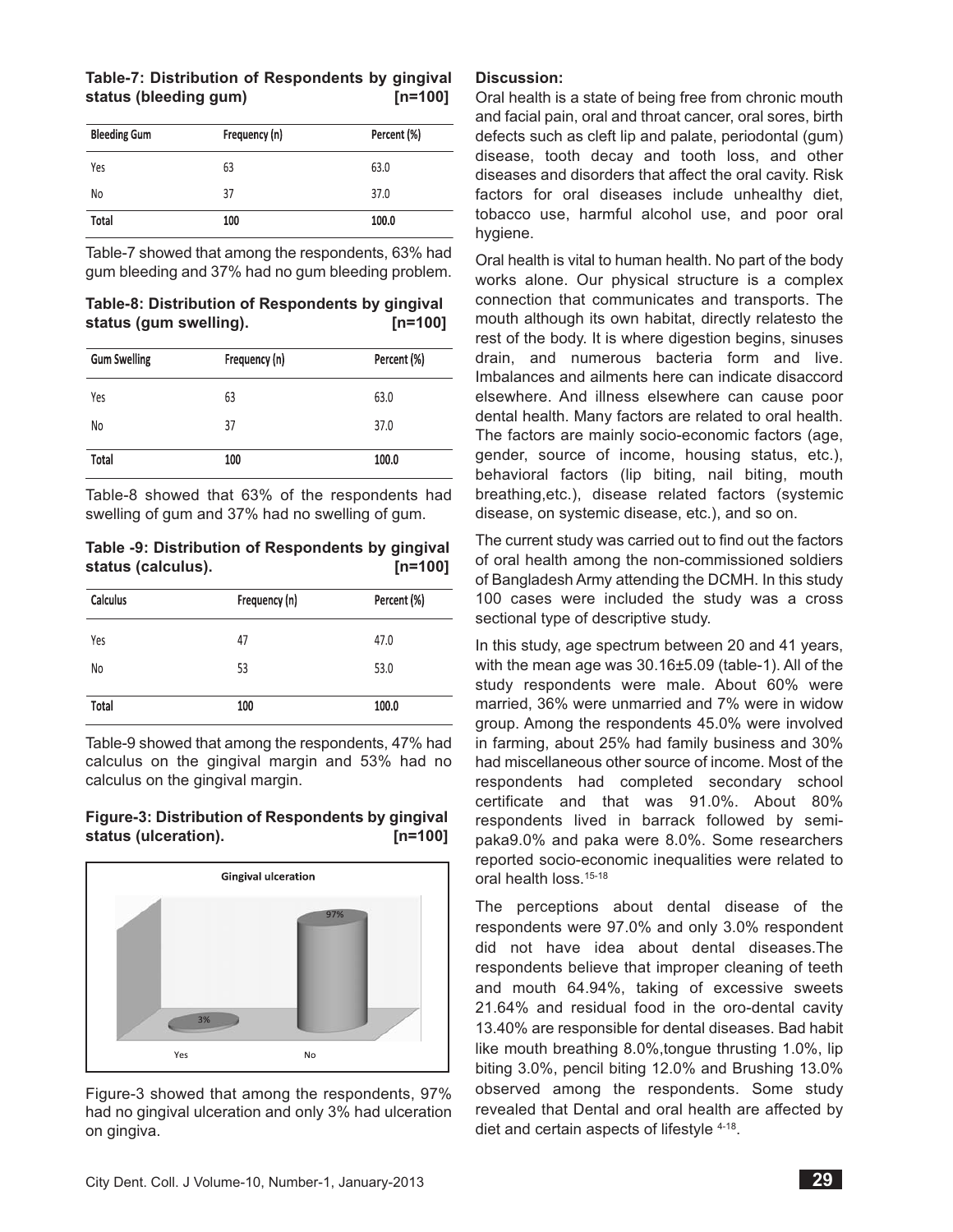| Table-7: Distribution of Respondents by gingival |           |
|--------------------------------------------------|-----------|
| status (bleeding gum)                            | $[n=100]$ |

| <b>Bleeding Gum</b> | Frequency (n) | Percent (%) |
|---------------------|---------------|-------------|
| Yes                 | 63            | 63.0        |
| No                  | 37            | 37.0        |
| Total               | 100           | 100.0       |

Table-7 showed that among the respondents, 63% had gum bleeding and 37% had no gum bleeding problem.

## **Table-8: Distribution of Respondents by gingival status (gum swelling). [n=100]**

| <b>Gum Swelling</b> | Frequency (n) | Percent (%) |
|---------------------|---------------|-------------|
| Yes                 | 63            | 63.0        |
| No                  | 37            | 37.0        |
| Total               | 100           | 100.0       |

Table-8 showed that 63% of the respondents had swelling of gum and 37% had no swelling of gum.

**Table -9: Distribution of Respondents by gingival status (calculus). [n=100]**

| Calculus | Frequency (n) | Percent (%) |
|----------|---------------|-------------|
| Yes      | 47            | 47.0        |
| No       | 53            | 53.0        |
| Total    | 100           | 100.0       |

Table-9 showed that among the respondents, 47% had calculus on the gingival margin and 53% had no calculus on the gingival margin.

## **Figure-3: Distribution of Respondents by gingival status (ulceration). [n=100]**



Figure-3 showed that among the respondents, 97% had no gingival ulceration and only 3% had ulceration on gingiva.

# **Discussion:**

Oral health is a state of being free from chronic mouth and facial pain, oral and throat cancer, oral sores, birth defects such as cleft lip and palate, periodontal (gum) disease, tooth decay and tooth loss, and other diseases and disorders that affect the oral cavity. Risk factors for oral diseases include unhealthy diet, tobacco use, harmful alcohol use, and poor oral hygiene.

Oral health is vital to human health. No part of the body works alone. Our physical structure is a complex connection that communicates and transports. The mouth although its own habitat, directly relatesto the rest of the body. It is where digestion begins, sinuses drain, and numerous bacteria form and live. Imbalances and ailments here can indicate disaccord elsewhere. And illness elsewhere can cause poor dental health. Many factors are related to oral health. The factors are mainly socio-economic factors (age, gender, source of income, housing status, etc.), behavioral factors (lip biting, nail biting, mouth breathing,etc.), disease related factors (systemic disease, on systemic disease, etc.), and so on.

The current study was carried out to find out the factors of oral health among the non-commissioned soldiers of Bangladesh Army attending the DCMH. In this study 100 cases were included the study was a cross sectional type of descriptive study.

In this study, age spectrum between 20 and 41 years, with the mean age was 30.16±5.09 (table-1). All of the study respondents were male. About 60% were married, 36% were unmarried and 7% were in widow group. Among the respondents 45.0% were involved in farming, about 25% had family business and 30% had miscellaneous other source of income. Most of the respondents had completed secondary school certificate and that was 91.0%. About 80% respondents lived in barrack followed by semipaka9.0% and paka were 8.0%. Some researchers reported socio-economic inequalities were related to oral health loss.<sup>15-18</sup>

The perceptions about dental disease of the respondents were 97.0% and only 3.0% respondent did not have idea about dental diseases.The respondents believe that improper cleaning of teeth and mouth 64.94%, taking of excessive sweets 21.64% and residual food in the oro-dental cavity 13.40% are responsible for dental diseases. Bad habit like mouth breathing 8.0%,tongue thrusting 1.0%, lip biting 3.0%, pencil biting 12.0% and Brushing 13.0% observed among the respondents. Some study revealed that Dental and oral health are affected by diet and certain aspects of lifestyle 4-18.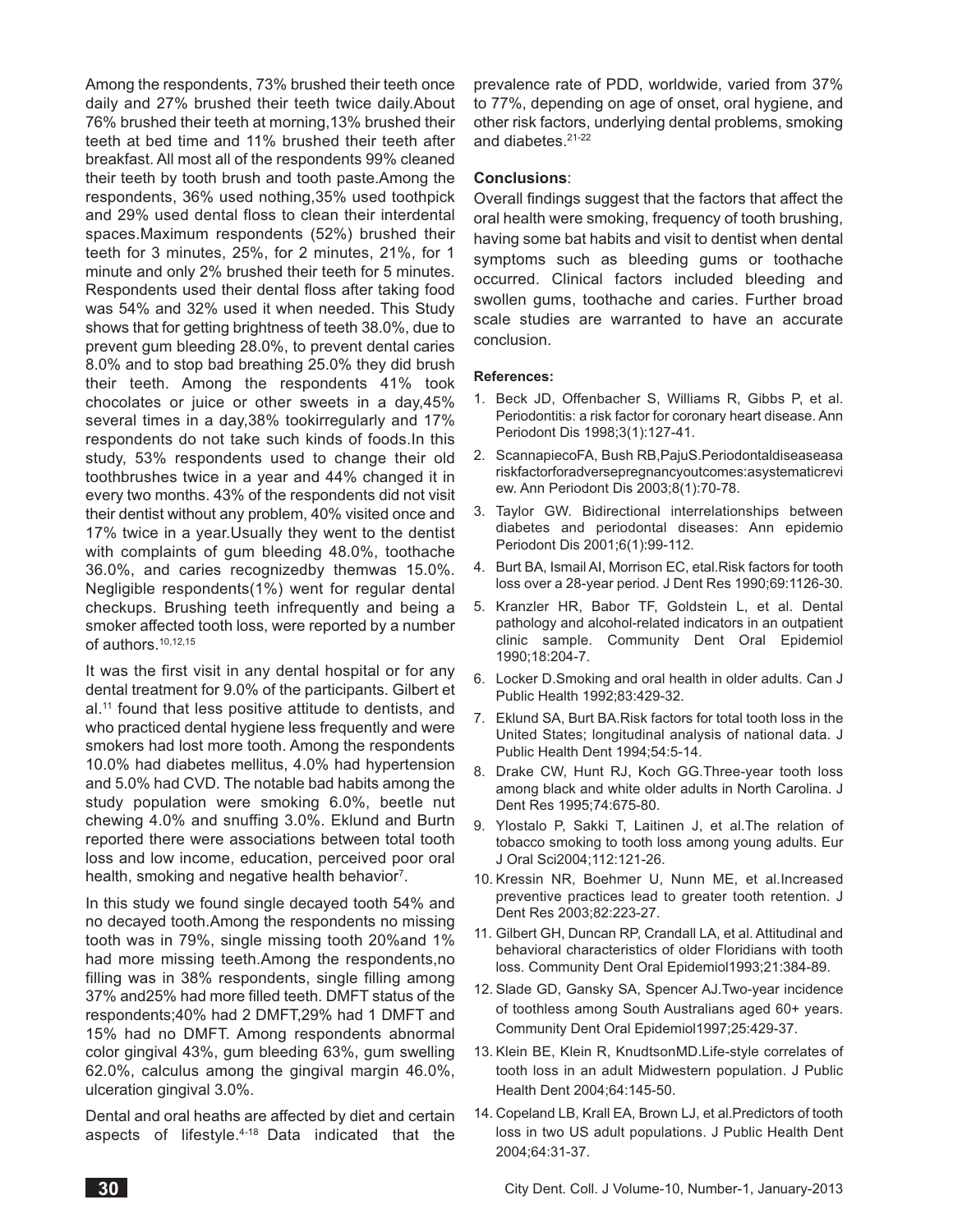Among the respondents, 73% brushed their teeth once daily and 27% brushed their teeth twice daily.About 76% brushed their teeth at morning,13% brushed their teeth at bed time and 11% brushed their teeth after breakfast. All most all of the respondents 99% cleaned their teeth by tooth brush and tooth paste.Among the respondents, 36% used nothing,35% used toothpick and 29% used dental floss to clean their interdental spaces.Maximum respondents (52%) brushed their teeth for 3 minutes, 25%, for 2 minutes, 21%, for 1 minute and only 2% brushed their teeth for 5 minutes. Respondents used their dental floss after taking food was 54% and 32% used it when needed. This Study shows that for getting brightness of teeth 38.0%, due to prevent gum bleeding 28.0%, to prevent dental caries 8.0% and to stop bad breathing 25.0% they did brush their teeth. Among the respondents 41% took chocolates or juice or other sweets in a day,45% several times in a day,38% tookirregularly and 17% respondents do not take such kinds of foods.In this study, 53% respondents used to change their old toothbrushes twice in a year and 44% changed it in every two months. 43% of the respondents did not visit their dentist without any problem, 40% visited once and 17% twice in a year.Usually they went to the dentist with complaints of gum bleeding 48.0%, toothache 36.0%, and caries recognizedby themwas 15.0%. Negligible respondents(1%) went for regular dental checkups. Brushing teeth infrequently and being a smoker affected tooth loss, were reported by a number of authors.<sup>10,12,15</sup>

It was the first visit in any dental hospital or for any dental treatment for 9.0% of the participants. Gilbert et al.11 found that less positive attitude to dentists, and who practiced dental hygiene less frequently and were smokers had lost more tooth. Among the respondents 10.0% had diabetes mellitus, 4.0% had hypertension and 5.0% had CVD. The notable bad habits among the study population were smoking 6.0%, beetle nut chewing 4.0% and snuffing 3.0%. Eklund and Burtn reported there were associations between total tooth loss and low income, education, perceived poor oral health, smoking and negative health behavior<sup>7</sup>.

In this study we found single decayed tooth 54% and no decayed tooth.Among the respondents no missing tooth was in 79%, single missing tooth 20%and 1% had more missing teeth.Among the respondents,no filling was in 38% respondents, single filling among 37% and25% had more filled teeth. DMFT status of the respondents;40% had 2 DMFT,29% had 1 DMFT and 15% had no DMFT. Among respondents abnormal color gingival 43%, gum bleeding 63%, gum swelling 62.0%, calculus among the gingival margin 46.0%, ulceration gingival 3.0%.

Dental and oral heaths are affected by diet and certain aspects of lifestyle.<sup>4-18</sup> Data indicated that the

prevalence rate of PDD, worldwide, varied from 37% to 77%, depending on age of onset, oral hygiene, and other risk factors, underlying dental problems, smoking and diabetes<sup>21-22</sup>

## **Conclusions**:

Overall findings suggest that the factors that affect the oral health were smoking, frequency of tooth brushing, having some bat habits and visit to dentist when dental symptoms such as bleeding gums or toothache occurred. Clinical factors included bleeding and swollen gums, toothache and caries. Further broad scale studies are warranted to have an accurate conclusion.

#### **References:**

- 1. Beck JD, Offenbacher S, Williams R, Gibbs P, et al. Periodontitis: a risk factor for coronary heart disease. Ann Periodont Dis 1998;3(1):127-41.
- 2. ScannapiecoFA, Bush RB,PajuS.Periodontaldiseaseasa riskfactorforadversepregnancyoutcomes:asystematicrevi ew. Ann Periodont Dis 2003;8(1):70-78.
- 3. Taylor GW. Bidirectional interrelationships between diabetes and periodontal diseases: Ann epidemio Periodont Dis 2001;6(1):99-112.
- 4. Burt BA, Ismail AI, Morrison EC, etal.Risk factors for tooth loss over a 28-year period. J Dent Res 1990;69:1126-30.
- 5. Kranzler HR, Babor TF, Goldstein L, et al. Dental pathology and alcohol-related indicators in an outpatient clinic sample. Community Dent Oral Epidemiol 1990;18:204-7.
- 6. Locker D.Smoking and oral health in older adults. Can J Public Health 1992;83:429-32.
- 7. Eklund SA, Burt BA.Risk factors for total tooth loss in the United States; longitudinal analysis of national data. J Public Health Dent 1994;54:5-14.
- 8. Drake CW, Hunt RJ, Koch GG.Three-year tooth loss among black and white older adults in North Carolina. J Dent Res 1995;74:675-80.
- 9. Ylostalo P, Sakki T, Laitinen J, et al.The relation of tobacco smoking to tooth loss among young adults. Eur J Oral Sci2004;112:121-26.
- 10. Kressin NR, Boehmer U, Nunn ME, et al.Increased preventive practices lead to greater tooth retention. J Dent Res 2003;82:223-27.
- 11. Gilbert GH, Duncan RP, Crandall LA, et al. Attitudinal and behavioral characteristics of older Floridians with tooth loss. Community Dent Oral Epidemiol1993;21:384-89.
- 12. Slade GD, Gansky SA, Spencer AJ.Two-year incidence of toothless among South Australians aged 60+ years. Community Dent Oral Epidemiol1997;25:429-37.
- 13. Klein BE, Klein R, KnudtsonMD.Life-style correlates of tooth loss in an adult Midwestern population. J Public Health Dent 2004;64:145-50.
- 14. Copeland LB, Krall EA, Brown LJ, et al.Predictors of tooth loss in two US adult populations. J Public Health Dent 2004;64:31-37.